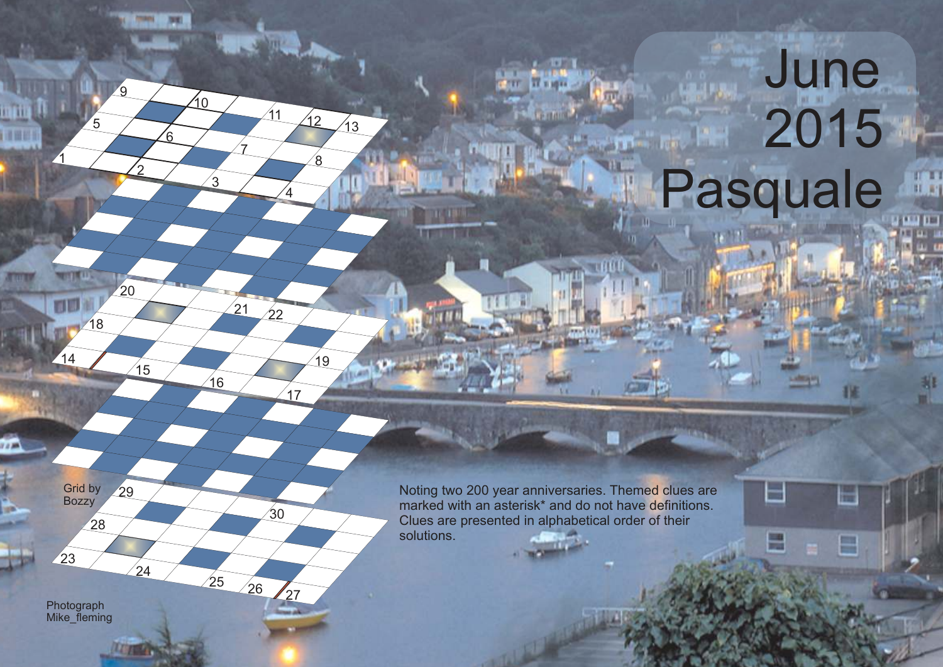## June 2015 Pasquale

-

- 11 − il an

Noting two 200 year anniversaries. Themed clues are marked with an asterisk\* and do not have definitions. Clues are presented in alphabetical order of their solutions.

Photograph Mike fleming

28

Grid by  $29$ 

**Bozzy** 

 $23$ 

1

214

而回

18

5

2

15

 $\sigma_{\mathcal{A}}$ 

 $\mathbf{z}_0$ 

<u>ର</u>

์คิ

ં?

16

10

7

 $21\frac{7}{22}$ 

 $\overline{4}$ 

 $\overline{17}$ 

 $^{\prime}$ 30  $^{\prime}$ 

 $25\frac{26}{26}$ 

19

8

 $11 / 12 / 13$